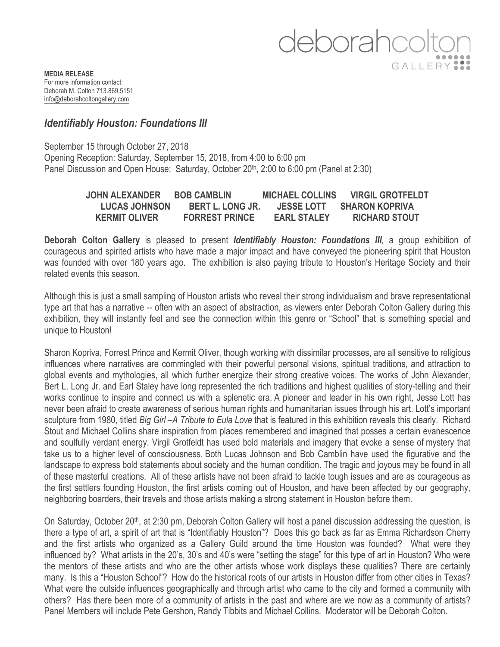## deborahco GALLERY<sup>9</sup>

**MEDIA RELEASE** For more information contact: Deborah M. Colton 713.869.5151 info@deborahcoltongallery.com

## *Identifiably Houston: Foundations III*

September 15 through October 27, 2018 Opening Reception: Saturday, September 15, 2018, from 4:00 to 6:00 pm Panel Discussion and Open House: Saturday, October 20<sup>th</sup>, 2:00 to 6:00 pm (Panel at 2:30)

| JOHN ALEXANDER       | <b>BOB CAMBLIN</b>      | <b>MICHAEL COLLINS</b> | <b>VIRGIL GROTFELDT</b> |
|----------------------|-------------------------|------------------------|-------------------------|
| <b>LUCAS JOHNSON</b> | <b>BERT L. LONG JR.</b> | <b>JESSE LOTT</b>      | <b>SHARON KOPRIVA</b>   |
| <b>KERMIT OLIVER</b> | <b>FORREST PRINCE</b>   | <b>EARL STALEY</b>     | <b>RICHARD STOUT</b>    |

**Deborah Colton Gallery** is pleased to present *Identifiably Houston: Foundations III,* a group exhibition of courageous and spirited artists who have made a major impact and have conveyed the pioneering spirit that Houston was founded with over 180 years ago. The exhibition is also paying tribute to Houston's Heritage Society and their related events this season.

Although this is just a small sampling of Houston artists who reveal their strong individualism and brave representational type art that has a narrative -- often with an aspect of abstraction, as viewers enter Deborah Colton Gallery during this exhibition, they will instantly feel and see the connection within this genre or "School" that is something special and unique to Houston!

Sharon Kopriva, Forrest Prince and Kermit Oliver, though working with dissimilar processes, are all sensitive to religious influences where narratives are commingled with their powerful personal visions, spiritual traditions, and attraction to global events and mythologies, all which further energize their strong creative voices. The works of John Alexander, Bert L. Long Jr. and Earl Staley have long represented the rich traditions and highest qualities of story-telling and their works continue to inspire and connect us with a splenetic era. A pioneer and leader in his own right, Jesse Lott has never been afraid to create awareness of serious human rights and humanitarian issues through his art. Lott's important sculpture from 1980, titled *Big Girl –A Tribute to Eula Love* that is featured in this exhibition reveals this clearly. Richard Stout and Michael Collins share inspiration from places remembered and imagined that posses a certain evanescence and soulfully verdant energy. Virgil Grotfeldt has used bold materials and imagery that evoke a sense of mystery that take us to a higher level of consciousness. Both Lucas Johnson and Bob Camblin have used the figurative and the landscape to express bold statements about society and the human condition. The tragic and joyous may be found in all of these masterful creations. All of these artists have not been afraid to tackle tough issues and are as courageous as the first settlers founding Houston, the first artists coming out of Houston, and have been affected by our geography, neighboring boarders, their travels and those artists making a strong statement in Houston before them.

On Saturday, October 20<sup>th</sup>, at 2:30 pm, Deborah Colton Gallery will host a panel discussion addressing the question, is there a type of art, a spirit of art that is "Identifiably Houston"? Does this go back as far as Emma Richardson Cherry and the first artists who organized as a Gallery Guild around the time Houston was founded? What were they influenced by? What artists in the 20's, 30's and 40's were "setting the stage" for this type of art in Houston? Who were the mentors of these artists and who are the other artists whose work displays these qualities? There are certainly many. Is this a "Houston School"? How do the historical roots of our artists in Houston differ from other cities in Texas? What were the outside influences geographically and through artist who came to the city and formed a community with others? Has there been more of a community of artists in the past and where are we now as a community of artists? Panel Members will include Pete Gershon, Randy Tibbits and Michael Collins. Moderator will be Deborah Colton.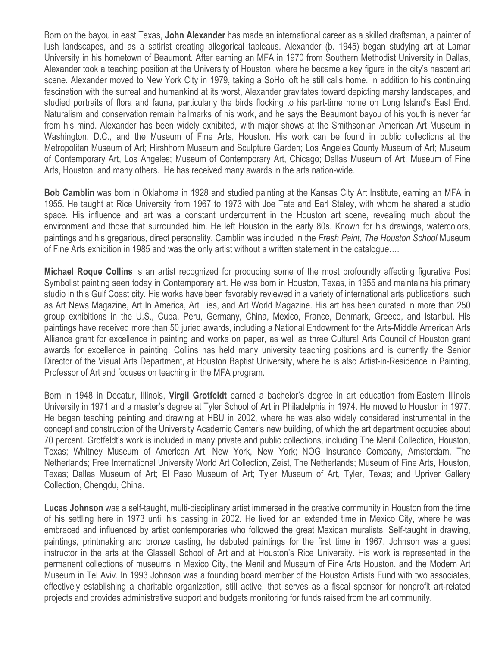Born on the bayou in east Texas, **John Alexander** has made an international career as a skilled draftsman, a painter of lush landscapes, and as a satirist creating allegorical tableaus. Alexander (b. 1945) began studying art at Lamar University in his hometown of Beaumont. After earning an MFA in 1970 from Southern Methodist University in Dallas, Alexander took a teaching position at the University of Houston, where he became a key figure in the city's nascent art scene. Alexander moved to New York City in 1979, taking a SoHo loft he still calls home. In addition to his continuing fascination with the surreal and humankind at its worst, Alexander gravitates toward depicting marshy landscapes, and studied portraits of flora and fauna, particularly the birds flocking to his part-time home on Long Island's East End. Naturalism and conservation remain hallmarks of his work, and he says the Beaumont bayou of his youth is never far from his mind. Alexander has been widely exhibited, with major shows at the Smithsonian American Art Museum in Washington, D.C., and the Museum of Fine Arts, Houston. His work can be found in public collections at the Metropolitan Museum of Art; Hirshhorn Museum and Sculpture Garden; Los Angeles County Museum of Art; Museum of Contemporary Art, Los Angeles; Museum of Contemporary Art, Chicago; Dallas Museum of Art; Museum of Fine Arts, Houston; and many others. He has received many awards in the arts nation-wide.

**Bob Camblin** was born in Oklahoma in 1928 and studied painting at the Kansas City Art Institute, earning an MFA in 1955. He taught at Rice University from 1967 to 1973 with Joe Tate and Earl Staley, with whom he shared a studio space. His influence and art was a constant undercurrent in the Houston art scene, revealing much about the environment and those that surrounded him. He left Houston in the early 80s. Known for his drawings, watercolors, paintings and his gregarious, direct personality, Camblin was included in the *Fresh Paint*, *The Houston School* Museum of Fine Arts exhibition in 1985 and was the only artist without a written statement in the catalogue….

**Michael Roque Collins** is an artist recognized for producing some of the most profoundly affecting figurative Post Symbolist painting seen today in Contemporary art. He was born in Houston, Texas, in 1955 and maintains his primary studio in this Gulf Coast city. His works have been favorably reviewed in a variety of international arts publications, such as Art News Magazine, Art In America, Art Lies, and Art World Magazine. His art has been curated in more than 250 group exhibitions in the U.S., Cuba, Peru, Germany, China, Mexico, France, Denmark, Greece, and Istanbul. His paintings have received more than 50 juried awards, including a National Endowment for the Arts-Middle American Arts Alliance grant for excellence in painting and works on paper, as well as three Cultural Arts Council of Houston grant awards for excellence in painting. Collins has held many university teaching positions and is currently the Senior Director of the Visual Arts Department, at Houston Baptist University, where he is also Artist-in-Residence in Painting, Professor of Art and focuses on teaching in the MFA program.

Born in 1948 in Decatur, Illinois, **Virgil Grotfeldt** earned a bachelor's degree in art education from Eastern Illinois University in 1971 and a master's degree at Tyler School of Art in Philadelphia in 1974. He moved to Houston in 1977. He began teaching painting and drawing at HBU in 2002, where he was also widely considered instrumental in the concept and construction of the University Academic Center's new building, of which the art department occupies about 70 percent. Grotfeldt's work is included in many private and public collections, including The Menil Collection, Houston, Texas; Whitney Museum of American Art, New York, New York; NOG Insurance Company, Amsterdam, The Netherlands; Free International University World Art Collection, Zeist, The Netherlands; Museum of Fine Arts, Houston, Texas; Dallas Museum of Art; El Paso Museum of Art; Tyler Museum of Art, Tyler, Texas; and Upriver Gallery Collection, Chengdu, China.

**Lucas Johnson** was a self-taught, multi-disciplinary artist immersed in the creative community in Houston from the time of his settling here in 1973 until his passing in 2002. He lived for an extended time in Mexico City, where he was embraced and influenced by artist contemporaries who followed the great Mexican muralists. Self-taught in drawing, paintings, printmaking and bronze casting, he debuted paintings for the first time in 1967. Johnson was a guest instructor in the arts at the Glassell School of Art and at Houston's Rice University. His work is represented in the permanent collections of museums in Mexico City, the Menil and Museum of Fine Arts Houston, and the Modern Art Museum in Tel Aviv. In 1993 Johnson was a founding board member of the Houston Artists Fund with two associates, effectively establishing a charitable organization, still active, that serves as a fiscal sponsor for nonprofit art-related projects and provides administrative support and budgets monitoring for funds raised from the art community.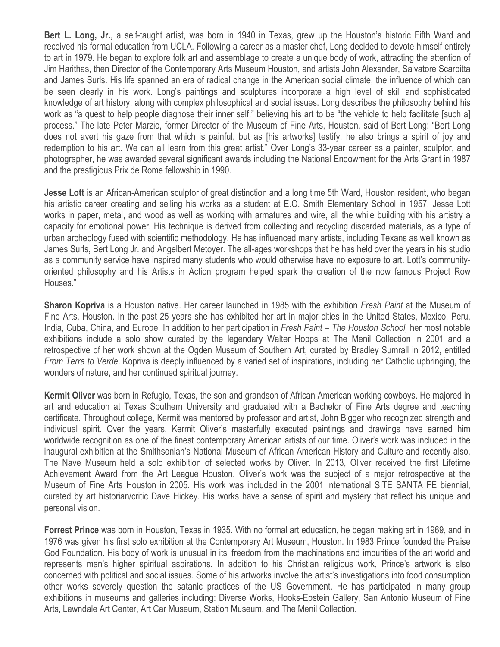**Bert L. Long, Jr.**, a self-taught artist, was born in 1940 in Texas, grew up the Houston's historic Fifth Ward and received his formal education from UCLA. Following a career as a master chef, Long decided to devote himself entirely to art in 1979. He began to explore folk art and assemblage to create a unique body of work, attracting the attention of Jim Harithas, then Director of the Contemporary Arts Museum Houston, and artists John Alexander, Salvatore Scarpitta and James Surls. His life spanned an era of radical change in the American social climate, the influence of which can be seen clearly in his work. Long's paintings and sculptures incorporate a high level of skill and sophisticated knowledge of art history, along with complex philosophical and social issues. Long describes the philosophy behind his work as "a quest to help people diagnose their inner self," believing his art to be "the vehicle to help facilitate [such a] process." The late Peter Marzio, former Director of the Museum of Fine Arts, Houston, said of Bert Long: "Bert Long does not avert his gaze from that which is painful, but as [his artworks] testify, he also brings a spirit of joy and redemption to his art. We can all learn from this great artist." Over Long's 33-year career as a painter, sculptor, and photographer, he was awarded several significant awards including the National Endowment for the Arts Grant in 1987 and the prestigious Prix de Rome fellowship in 1990.

**Jesse Lott** is an African-American sculptor of great distinction and a long time 5th Ward, Houston resident, who began his artistic career creating and selling his works as a student at E.O. Smith Elementary School in 1957. Jesse Lott works in paper, metal, and wood as well as working with armatures and wire, all the while building with his artistry a capacity for emotional power. His technique is derived from collecting and recycling discarded materials, as a type of urban archeology fused with scientific methodology. He has influenced many artists, including Texans as well known as James Surls, Bert Long Jr. and Angelbert Metoyer. The all-ages workshops that he has held over the years in his studio as a community service have inspired many students who would otherwise have no exposure to art. Lott's communityoriented philosophy and his Artists in Action program helped spark the creation of the now famous Project Row Houses."

**Sharon Kopriva** is a Houston native. Her career launched in 1985 with the exhibition *Fresh Paint* at the Museum of Fine Arts, Houston. In the past 25 years she has exhibited her art in major cities in the United States, Mexico, Peru, India, Cuba, China, and Europe. In addition to her participation in *Fresh Paint – The Houston School,* her most notable exhibitions include a solo show curated by the legendary Walter Hopps at The Menil Collection in 2001 and a retrospective of her work shown at the Ogden Museum of Southern Art, curated by Bradley Sumrall in 2012, entitled *From Terra to Verde*. Kopriva is deeply influenced by a varied set of inspirations, including her Catholic upbringing, the wonders of nature, and her continued spiritual journey.

**Kermit Oliver** was born in Refugio, Texas, the son and grandson of African American working cowboys. He majored in art and education at Texas Southern University and graduated with a Bachelor of Fine Arts degree and teaching certificate. Throughout college, Kermit was mentored by professor and artist, John Bigger who recognized strength and individual spirit. Over the years, Kermit Oliver's masterfully executed paintings and drawings have earned him worldwide recognition as one of the finest contemporary American artists of our time. Oliver's work was included in the inaugural exhibition at the Smithsonian's National Museum of African American History and Culture and recently also, The Nave Museum held a solo exhibition of selected works by Oliver. In 2013, Oliver received the first Lifetime Achievement Award from the Art League Houston. Oliver's work was the subject of a major retrospective at the Museum of Fine Arts Houston in 2005. His work was included in the 2001 international SITE SANTA FE biennial, curated by art historian/critic Dave Hickey. His works have a sense of spirit and mystery that reflect his unique and personal vision.

**Forrest Prince** was born in Houston, Texas in 1935. With no formal art education, he began making art in 1969, and in 1976 was given his first solo exhibition at the Contemporary Art Museum, Houston. In 1983 Prince founded the Praise God Foundation. His body of work is unusual in its' freedom from the machinations and impurities of the art world and represents man's higher spiritual aspirations. In addition to his Christian religious work, Prince's artwork is also concerned with political and social issues. Some of his artworks involve the artist's investigations into food consumption other works severely question the satanic practices of the US Government. He has participated in many group exhibitions in museums and galleries including: Diverse Works, Hooks-Epstein Gallery, San Antonio Museum of Fine Arts, Lawndale Art Center, Art Car Museum, Station Museum, and The Menil Collection.